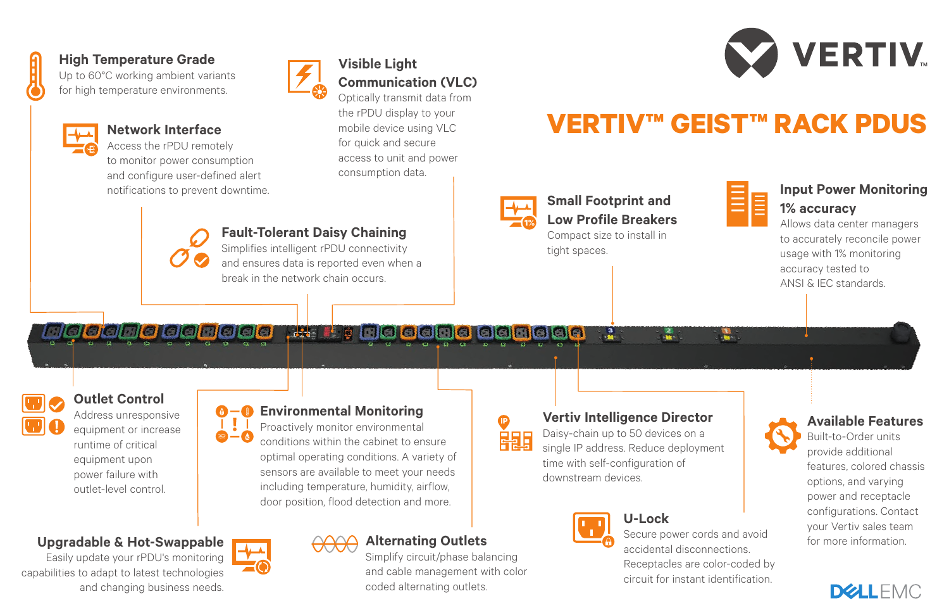

### **High Temperature Grade**

Up to 60°C working ambient variants for high temperature environments.

> Access the rPDU remotely to monitor power consumption and configure user-defined alert notifications to prevent downtime.



### **Visible Light Communication (VLC)**

Optically transmit data from the rPDU display to your mobile device using VLC for quick and secure access to unit and power consumption data.



# **Network Interface VERTIV™ GEIST™ RACK PDUS**



### **Fault-Tolerant Daisy Chaining**

Simplifies intelligent rPDU connectivity and ensures data is reported even when a break in the network chain occurs.



### **Small Footprint and Low Profile Breakers**

Compact size to install in tight spaces.



### **Input Power Monitoring 1% accuracy**

Allows data center managers to accurately reconcile power usage with 1% monitoring accuracy tested to ANSI & IEC standards.

### **noeono e e a a** a a **At it a dide dede de de**



### **Outlet Control**

Address unresponsive equipment or increase runtime of critical equipment upon power failure with outlet-level control.

Ħ

**Environmental Monitoring**

Proactively monitor environmental conditions within the cabinet to ensure optimal operating conditions. A variety of sensors are available to meet your needs including temperature, humidity, airflow, door position, flood detection and more.

## **Alternating Outlets**

Simplify circuit/phase balancing and cable management with color coded alternating outlets.



### **Vertiv Intelligence Director**

Daisy-chain up to 50 devices on a single IP address. Reduce deployment time with self-configuration of downstream devices.



### **U-Lock**

Secure power cords and avoid accidental disconnections. Receptacles are color-coded by circuit for instant identification.

### **Available Features**

Built-to-Order units provide additional features, colored chassis options, and varying power and receptacle configurations. Contact your Vertiv sales team for more information.



### **Upgradable & Hot-Swappable**

Easily update your rPDU's monitoring capabilities to adapt to latest technologies and changing business needs.